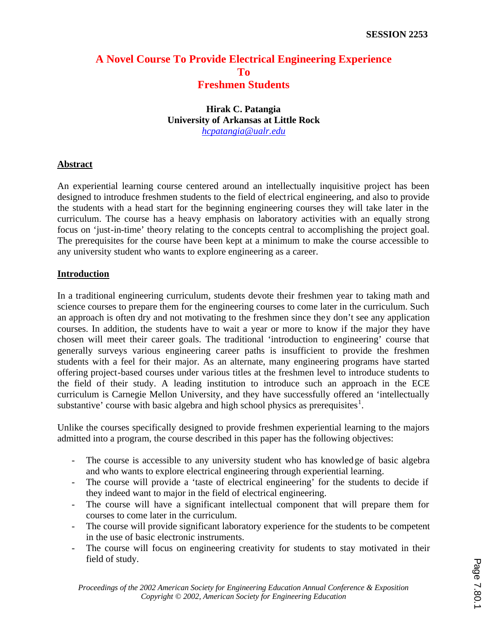# **A Novel Course To Provide Electrical Engineering Experience To Freshmen Students**

# **Hirak C. Patangia University of Arkansas at Little Rock** *hcpatangia@ualr.edu*

### **Abstract**

An experiential learning course centered around an intellectually inquisitive project has been designed to introduce freshmen students to the field of electrical engineering, and also to provide the students with a head start for the beginning engineering courses they will take later in the curriculum. The course has a heavy emphasis on laboratory activities with an equally strong focus on 'just-in-time' theory relating to the concepts central to accomplishing the project goal. The prerequisites for the course have been kept at a minimum to make the course accessible to any university student who wants to explore engineering as a career.

### **Introduction**

In a traditional engineering curriculum, students devote their freshmen year to taking math and science courses to prepare them for the engineering courses to come later in the curriculum. Such an approach is often dry and not motivating to the freshmen since they don't see any application courses. In addition, the students have to wait a year or more to know if the major they have chosen will meet their career goals. The traditional 'introduction to engineering' course that generally surveys various engineering career paths is insufficient to provide the freshmen students with a feel for their major. As an alternate, many engineering programs have started offering project-based courses under various titles at the freshmen level to introduce students to the field of their study. A leading institution to introduce such an approach in the ECE curriculum is Carnegie Mellon University, and they have successfully offered an 'intellectually substantive' course with basic algebra and high school physics as prerequisites $<sup>1</sup>$ .</sup>

Unlike the courses specifically designed to provide freshmen experiential learning to the majors admitted into a program, the course described in this paper has the following objectives:

- The course is accessible to any university student who has knowledge of basic algebra and who wants to explore electrical engineering through experiential learning.
- The course will provide a 'taste of electrical engineering' for the students to decide if they indeed want to major in the field of electrical engineering.
- The course will have a significant intellectual component that will prepare them for courses to come later in the curriculum.
- The course will provide significant laboratory experience for the students to be competent in the use of basic electronic instruments.
- The course will focus on engineering creativity for students to stay motivated in their field of study.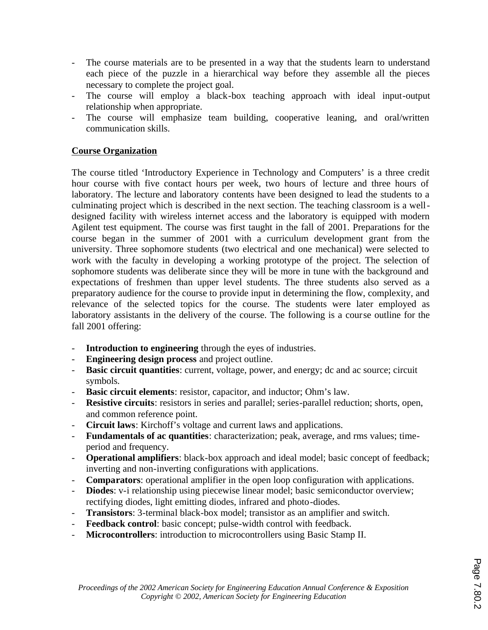- The course materials are to be presented in a way that the students learn to understand each piece of the puzzle in a hierarchical way before they assemble all the pieces necessary to complete the project goal.
- The course will employ a black-box teaching approach with ideal input-output relationship when appropriate.
- The course will emphasize team building, cooperative leaning, and oral/written communication skills.

## **Course Organization**

The course titled 'Introductory Experience in Technology and Computers' is a three credit hour course with five contact hours per week, two hours of lecture and three hours of laboratory. The lecture and laboratory contents have been designed to lead the students to a culminating project which is described in the next section. The teaching classroom is a welldesigned facility with wireless internet access and the laboratory is equipped with modern Agilent test equipment. The course was first taught in the fall of 2001. Preparations for the course began in the summer of 2001 with a curriculum development grant from the university. Three sophomore students (two electrical and one mechanical) were selected to work with the faculty in developing a working prototype of the project. The selection of sophomore students was deliberate since they will be more in tune with the background and expectations of freshmen than upper level students. The three students also served as a preparatory audience for the course to provide input in determining the flow, complexity, and relevance of the selected topics for the course. The students were later employed as laboratory assistants in the delivery of the course. The following is a course outline for the fall 2001 offering:

- **Introduction to engineering** through the eyes of industries.
- **Engineering design process** and project outline.
- **Basic circuit quantities**: current, voltage, power, and energy; dc and ac source; circuit symbols.
- **Basic circuit elements**: resistor, capacitor, and inductor; Ohm's law.
- **Resistive circuits**: resistors in series and parallel; series-parallel reduction; shorts, open, and common reference point.
- **Circuit laws**: Kirchoff's voltage and current laws and applications.
- **Fundamentals of ac quantities**: characterization; peak, average, and rms values; timeperiod and frequency.
- **Operational amplifiers**: black-box approach and ideal model; basic concept of feedback; inverting and non-inverting configurations with applications.
- **Comparators**: operational amplifier in the open loop configuration with applications.
- **Diodes**: v-i relationship using piecewise linear model; basic semiconductor overview; rectifying diodes, light emitting diodes, infrared and photo-diodes.
- **Transistors**: 3-terminal black-box model; transistor as an amplifier and switch.
- **Feedback control**: basic concept; pulse-width control with feedback.
- **Microcontrollers**: introduction to microcontrollers using Basic Stamp II.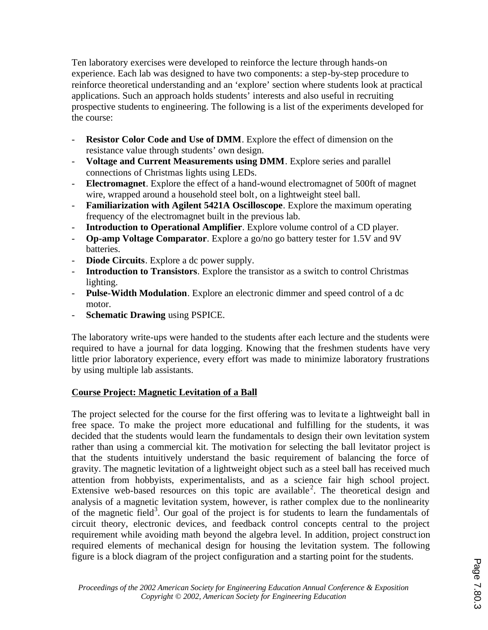Ten laboratory exercises were developed to reinforce the lecture through hands-on experience. Each lab was designed to have two components: a step-by-step procedure to reinforce theoretical understanding and an 'explore' section where students look at practical applications. Such an approach holds students' interests and also useful in recruiting prospective students to engineering. The following is a list of the experiments developed for the course:

- **Resistor Color Code and Use of DMM**. Explore the effect of dimension on the resistance value through students' own design.
- **Voltage and Current Measurements using DMM**. Explore series and parallel connections of Christmas lights using LEDs.
- **Electromagnet**. Explore the effect of a hand-wound electromagnet of 500ft of magnet wire, wrapped around a household steel bolt, on a lightweight steel ball.
- **Familiarization with Agilent 5421A Oscilloscope**. Explore the maximum operating frequency of the electromagnet built in the previous lab.
- **Introduction to Operational Amplifier**. Explore volume control of a CD player.
- **Op-amp Voltage Comparator**. Explore a go/no go battery tester for 1.5V and 9V batteries.
- **Diode Circuits**. Explore a dc power supply.
- Introduction to Transistors. Explore the transistor as a switch to control Christmas lighting.
- **Pulse-Width Modulation**. Explore an electronic dimmer and speed control of a dc motor.
- **Schematic Drawing** using PSPICE.

The laboratory write-ups were handed to the students after each lecture and the students were required to have a journal for data logging. Knowing that the freshmen students have very little prior laboratory experience, every effort was made to minimize laboratory frustrations by using multiple lab assistants.

# **Course Project: Magnetic Levitation of a Ball**

The project selected for the course for the first offering was to levita te a lightweight ball in free space. To make the project more educational and fulfilling for the students, it was decided that the students would learn the fundamentals to design their own levitation system rather than using a commercial kit. The motivation for selecting the ball levitator project is that the students intuitively understand the basic requirement of balancing the force of gravity. The magnetic levitation of a lightweight object such as a steel ball has received much attention from hobbyists, experimentalists, and as a science fair high school project. Extensive web-based resources on this topic are available<sup>2</sup>. The theoretical design and analysis of a magnetic levitation system, however, is rather complex due to the nonlinearity of the magnetic field<sup>3</sup>. Our goal of the project is for students to learn the fundamentals of circuit theory, electronic devices, and feedback control concepts central to the project requirement while avoiding math beyond the algebra level. In addition, project construct ion required elements of mechanical design for housing the levitation system. The following figure is a block diagram of the project configuration and a starting point for the students.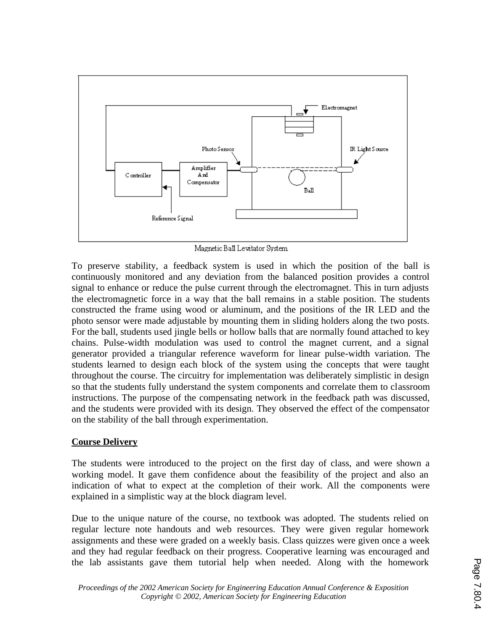

Magnetic Ball Levitator System

To preserve stability, a feedback system is used in which the position of the ball is continuously monitored and any deviation from the balanced position provides a control signal to enhance or reduce the pulse current through the electromagnet. This in turn adjusts the electromagnetic force in a way that the ball remains in a stable position. The students constructed the frame using wood or aluminum, and the positions of the IR LED and the photo sensor were made adjustable by mounting them in sliding holders along the two posts. For the ball, students used jingle bells or hollow balls that are normally found attached to key chains. Pulse-width modulation was used to control the magnet current, and a signal generator provided a triangular reference waveform for linear pulse-width variation. The students learned to design each block of the system using the concepts that were taught throughout the course. The circuitry for implementation was deliberately simplistic in design so that the students fully understand the system components and correlate them to classroom instructions. The purpose of the compensating network in the feedback path was discussed, and the students were provided with its design. They observed the effect of the compensator on the stability of the ball through experimentation.

### **Course Delivery**

The students were introduced to the project on the first day of class, and were shown a working model. It gave them confidence about the feasibility of the project and also an indication of what to expect at the completion of their work. All the components were explained in a simplistic way at the block diagram level.

Due to the unique nature of the course, no textbook was adopted. The students relied on regular lecture note handouts and web resources. They were given regular homework assignments and these were graded on a weekly basis. Class quizzes were given once a week and they had regular feedback on their progress. Cooperative learning was encouraged and the lab assistants gave them tutorial help when needed. Along with the homework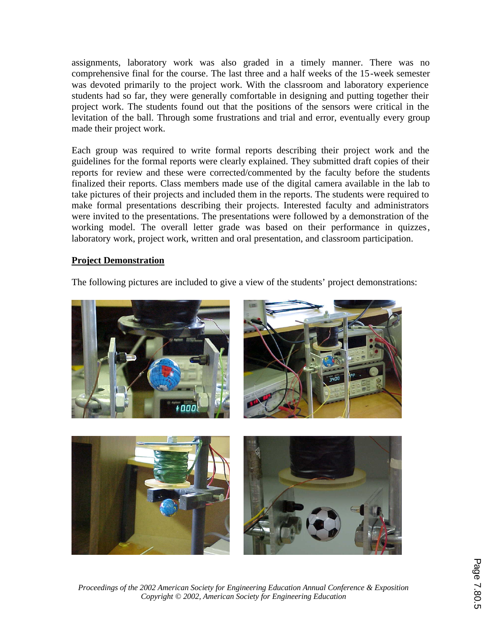assignments, laboratory work was also graded in a timely manner. There was no comprehensive final for the course. The last three and a half weeks of the 15-week semester was devoted primarily to the project work. With the classroom and laboratory experience students had so far, they were generally comfortable in designing and putting together their project work. The students found out that the positions of the sensors were critical in the levitation of the ball. Through some frustrations and trial and error, eventually every group made their project work.

Each group was required to write formal reports describing their project work and the guidelines for the formal reports were clearly explained. They submitted draft copies of their reports for review and these were corrected/commented by the faculty before the students finalized their reports. Class members made use of the digital camera available in the lab to take pictures of their projects and included them in the reports. The students were required to make formal presentations describing their projects. Interested faculty and administrators were invited to the presentations. The presentations were followed by a demonstration of the working model. The overall letter grade was based on their performance in quizzes, laboratory work, project work, written and oral presentation, and classroom participation.

#### **Project Demonstration**

The following pictures are included to give a view of the students' project demonstrations:



*Proceedings of the 2002 American Society for Engineering Education Annual Conference & Exposition Copyright © 2002, American Society for Engineering Education*